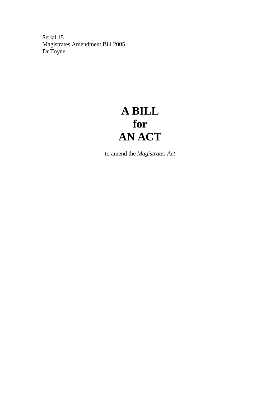Serial 15 Magistrates Amendment Bill 2005 Dr Toyne

## **A BILL for AN ACT**

to amend the *Magistrates Act*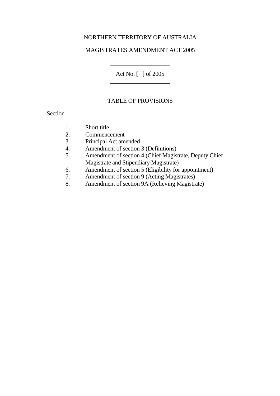#### NORTHERN TERRITORY OF AUSTRALIA

#### MAGISTRATES AMENDMENT ACT 2005

Act No. [ ] of 2005 \_\_\_\_\_\_\_\_\_\_\_\_\_\_\_\_\_\_\_\_

\_\_\_\_\_\_\_\_\_\_\_\_\_\_\_\_\_\_\_\_

#### TABLE OF PROVISIONS

#### Section

- 1. Short title
- 2. Commencement
- 3. Principal Act amended
- 4. Amendment of section 3 (Definitions)
- 5. Amendment of section 4 (Chief Magistrate, Deputy Chief Magistrate and Stipendiary Magistrate)
- 6. Amendment of section 5 (Eligibility for appointment)
- 7. Amendment of section 9 (Acting Magistrates)
- 8. Amendment of section 9A (Relieving Magistrate)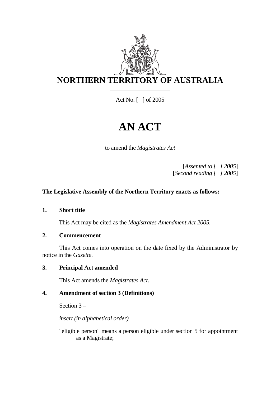

Act No. [ ] of 2005 \_\_\_\_\_\_\_\_\_\_\_\_\_\_\_\_\_\_\_\_

# **AN ACT**

to amend the *Magistrates Act*

[*Assented to [ ] 2005*] [*Second reading [ ] 2005*]

## **The Legislative Assembly of the Northern Territory enacts as follows:**

**1. Short title** 

This Act may be cited as the *Magistrates Amendment Act 2005*.

#### **2. Commencement**

 This Act comes into operation on the date fixed by the Administrator by notice in the *Gazette*.

**3. Principal Act amended** 

This Act amends the *Magistrates Act*.

## **4. Amendment of section 3 (Definitions)**

Section 3 –

*insert (in alphabetical order)* 

 "eligible person" means a person eligible under section 5 for appointment as a Magistrate;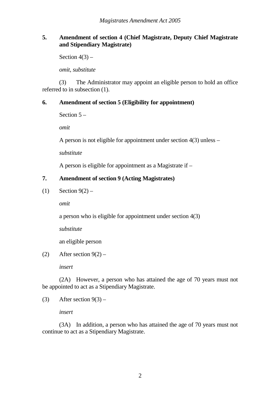### **5. Amendment of section 4 (Chief Magistrate, Deputy Chief Magistrate and Stipendiary Magistrate)**

Section  $4(3)$  –

*omit, substitute* 

 (3) The Administrator may appoint an eligible person to hold an office referred to in subsection (1).

## **6. Amendment of section 5 (Eligibility for appointment)**

Section 5 –

*omit* 

A person is not eligible for appointment under section 4(3) unless –

*substitute* 

A person is eligible for appointment as a Magistrate if –

## **7. Amendment of section 9 (Acting Magistrates)**

(1) Section  $9(2)$  –

*omit* 

a person who is eligible for appointment under section 4(3)

*substitute*

an eligible person

(2) After section  $9(2)$  –

*insert* 

 (2A) However, a person who has attained the age of 70 years must not be appointed to act as a Stipendiary Magistrate.

(3) After section  $9(3)$  –

#### *insert*

 (3A) In addition, a person who has attained the age of 70 years must not continue to act as a Stipendiary Magistrate.